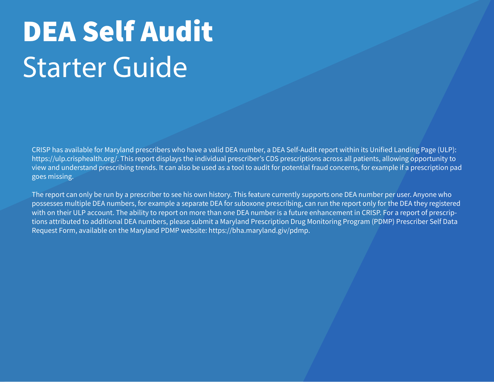CRISP has available for Maryland prescribers who have a valid DEA number, a DEA Self-Audit report within its Unified Landing Page (ULP): https://ulp.crisphealth.org/. This report displays the individual prescriber's CDS prescriptions across all patients, allowing opportunity to view and understand prescribing trends. It can also be used as a tool to audit for potential fraud concerns, for example if a prescription pad goes missing.

The report can only be run by a prescriber to see his own history. This feature currently supports one DEA number per user. Anyone who possesses multiple DEA numbers, for example a separate DEA for suboxone prescribing, can run the report only for the DEA they registered with on their ULP account. The ability to report on more than one DEA number is a future enhancement in CRISP. For a report of prescriptions attributed to additional DEA numbers, please submit a Maryland Prescription Drug Monitoring Program (PDMP) Prescriber Self Data Request Form, available on the Maryland PDMP website: https://bha.maryland.giv/pdmp.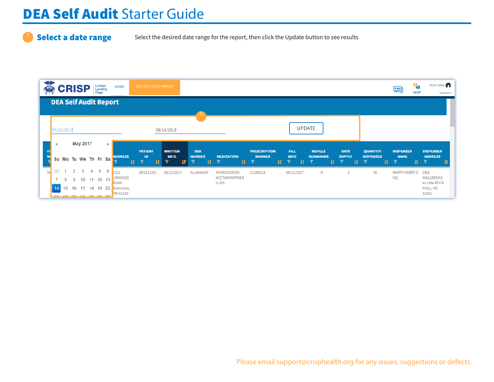### Select a date range Select the desired date range for the report, then click the Update button to see results

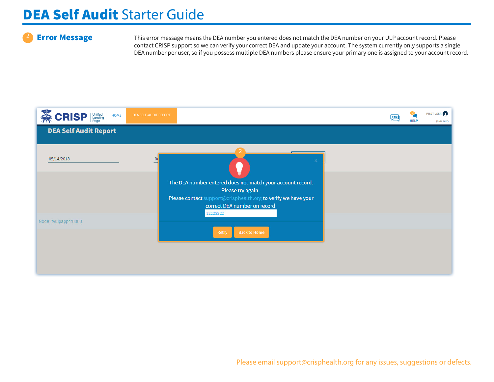**Error Message** This error message means the DEA number you entered does not match the DEA number on your ULP account record. Please contact CRISP support so we can verify your correct DEA and update your account. The system currently only supports a single DEA number per user, so if you possess multiple DEA numbers please ensure your primary one is assigned to your account record.

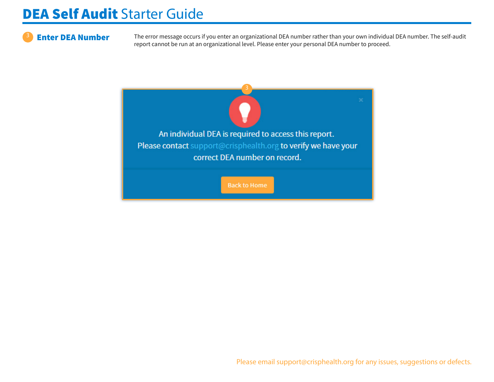**Enter DEA Number** The error message occurs if you enter an organizational DEA number rather than your own individual DEA number. The self-audit report cannot be run at an organizational level. Please enter your personal DEA number to proceed.

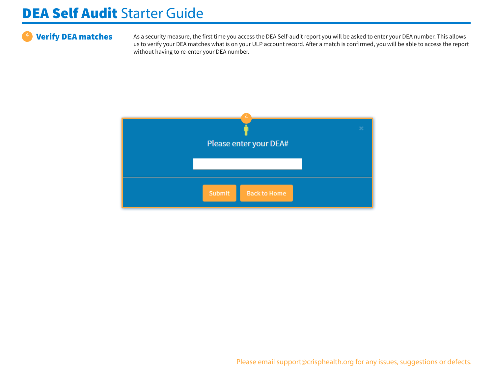Verify DEA matches As a security measure, the first time you access the DEA Self-audit report you will be asked to enter your DEA number. This allows us to verify your DEA matches what is on your ULP account record. After a match is confirmed, you will be able to access the report without having to re-enter your DEA number.